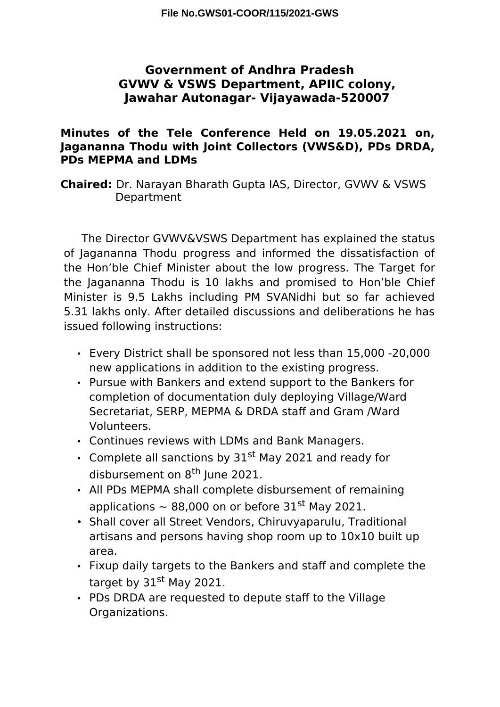## **Government of Andhra Pradesh GVWV & VSWS Department, APIIC colony, Jawahar Autonagar- Vijayawada-520007**

## **Minutes of the Tele Conference Held on 19.05.2021 on, Jagananna Thodu with Joint Collectors (VWS&D), PDs DRDA, PDs MEPMA and LDMs**

**Chaired:** Dr. Narayan Bharath Gupta IAS, Director, GVWV & VSWS Department

The Director GVWV&VSWS Department has explained the status of Jagananna Thodu progress and informed the dissatisfaction of the Hon'ble Chief Minister about the low progress. The Target for the Jagananna Thodu is 10 lakhs and promised to Hon'ble Chief Minister is 9.5 Lakhs including PM SVANidhi but so far achieved 5.31 lakhs only. After detailed discussions and deliberations he has issued following instructions:

- Every District shall be sponsored not less than 15,000 -20,000 new applications in addition to the existing progress.
- Pursue with Bankers and extend support to the Bankers for completion of documentation duly deploying Village/Ward Secretariat, SERP, MEPMA & DRDA staff and Gram /Ward Volunteers.
- Continues reviews with LDMs and Bank Managers.
- Complete all sanctions by  $31^{st}$  May 2021 and ready for disbursement on 8<sup>th</sup> June 2021.
- All PDs MEPMA shall complete disbursement of remaining applications  $\sim$  88,000 on or before 31st May 2021.
- Shall cover all Street Vendors, Chiruvyaparulu, Traditional artisans and persons having shop room up to 10x10 built up area.
- Fixup daily targets to the Bankers and staff and complete the target by  $31<sup>st</sup>$  May 2021.
- PDs DRDA are requested to depute staff to the Village Organizations.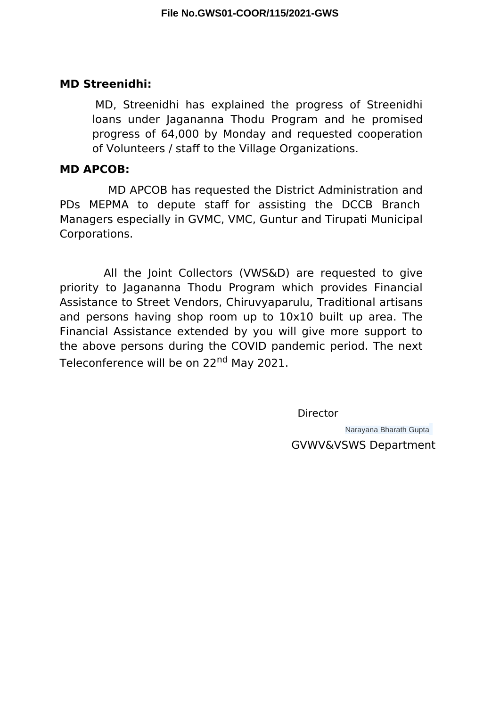## **MD Streenidhi:**

MD, Streenidhi has explained the progress of Streenidhi loans under Jagananna Thodu Program and he promised progress of 64,000 by Monday and requested cooperation of Volunteers / staff to the Village Organizations.

## **MD APCOB:**

MD APCOB has requested the District Administration and PDs MEPMA to depute staff for assisting the DCCB Branch Managers especially in GVMC, VMC, Guntur and Tirupati Municipal Corporations.

All the Joint Collectors (VWS&D) are requested to give priority to Jagananna Thodu Program which provides Financial Assistance to Street Vendors, Chiruvyaparulu, Traditional artisans and persons having shop room up to 10x10 built up area. The Financial Assistance extended by you will give more support to the above persons during the COVID pandemic period. The next Teleconference will be on 22<sup>nd</sup> May 2021.

**Director** 

Narayana Bharath Gupta GVWV&VSWS Department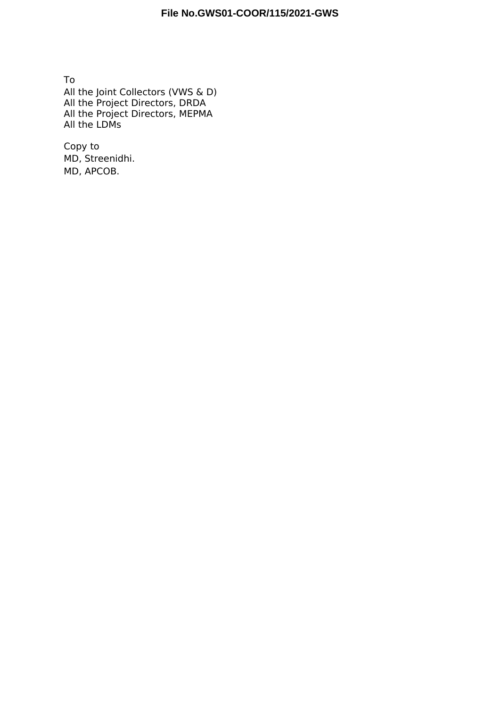To All the Joint Collectors (VWS & D) All the Project Directors, DRDA All the Project Directors, MEPMA All the LDMs

Copy to MD, Streenidhi. MD, APCOB.